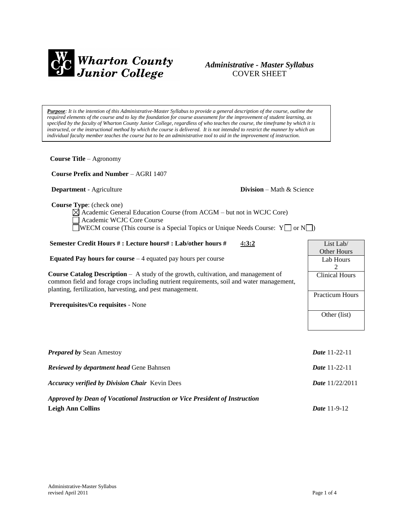

# *Administrative - Master Syllabus*  COVER SHEET

*Purpose: It is the intention of this Administrative-Master Syllabus to provide a general description of the course, outline the required elements of the course and to lay the foundation for course assessment for the improvement of student learning, as specified by the faculty of Wharton County Junior College, regardless of who teaches the course, the timeframe by which it is instructed, or the instructional method by which the course is delivered. It is not intended to restrict the manner by which an individual faculty member teaches the course but to be an administrative tool to aid in the improvement of instruction.*

**Course Title** – Agronomy  **Course Prefix and Number** – AGRI 1407 **Department** - Agriculture **Division** – Math & Science  **Course Type**: (check one)  $\boxtimes$  Academic General Education Course (from ACGM – but not in WCJC Core) Academic WCJC Core Course WECM course (This course is a Special Topics or Unique Needs Course:  $Y \Box$  or  $N \Box$ ) **Semester Credit Hours # : Lecture hours# : Lab/other hours #** 4**:3:2 Equated Pay hours for course** – 4 equated pay hours per course **Course Catalog Description** – A study of the growth, cultivation, and management of common field and forage crops including nutrient requirements, soil and water management, planting, fertilization, harvesting, and pest management. **Prerequisites/Co requisites** - None *Prepared by* Sean Amestoy *Date* 11-22-11 *Reviewed by department head* Gene Bahnsen *Date* 11-22-11 *Accuracy verified by Division Chair* Kevin Dees *Date* 11/22/2011 List Lab/ Other Hours Lab Hours 2 Clinical Hours Practicum Hours Other (list)

*Approved by Dean of Vocational Instruction or Vice President of Instruction* **Leigh Ann Collins** *Date* 11-9-12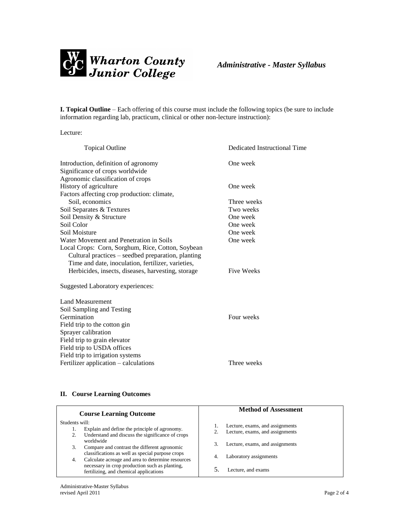

**I. Topical Outline** – Each offering of this course must include the following topics (be sure to include information regarding lab, practicum, clinical or other non-lecture instruction):

Lecture:

| <b>Topical Outline</b>                             | Dedicated Instructional Time |
|----------------------------------------------------|------------------------------|
| Introduction, definition of agronomy               | One week                     |
| Significance of crops worldwide                    |                              |
| Agronomic classification of crops                  |                              |
| History of agriculture                             | One week                     |
| Factors affecting crop production: climate,        |                              |
| Soil, economics                                    | Three weeks                  |
| Soil Separates & Textures                          | Two weeks                    |
| Soil Density & Structure                           | One week                     |
| Soil Color                                         | One week                     |
| Soil Moisture                                      | One week                     |
| Water Movement and Penetration in Soils            | One week                     |
| Local Crops: Corn, Sorghum, Rice, Cotton, Soybean  |                              |
| Cultural practices – seedbed preparation, planting |                              |
| Time and date, inoculation, fertilizer, varieties, |                              |
| Herbicides, insects, diseases, harvesting, storage | <b>Five Weeks</b>            |
| Suggested Laboratory experiences:                  |                              |
| <b>Land Measurement</b>                            |                              |
| Soil Sampling and Testing                          |                              |
| Germination                                        | Four weeks                   |
| Field trip to the cotton gin                       |                              |
| Sprayer calibration                                |                              |
| Field trip to grain elevator                       |                              |
| Field trip to USDA offices                         |                              |
| Field trip to irrigation systems                   |                              |
| Fertilizer application – calculations              | Three weeks                  |

## **II. Course Learning Outcomes**

| <b>Course Learning Outcome</b>                                                                                            | <b>Method of Assessment</b>                                        |
|---------------------------------------------------------------------------------------------------------------------------|--------------------------------------------------------------------|
| Students will:<br>Explain and define the principle of agronomy.<br>Understand and discuss the significance of crops<br>2. | Lecture, exams, and assignments<br>Lecture, exams, and assignments |
| worldwide<br>Compare and contrast the different agronomic<br>3.                                                           | Lecture, exams, and assignments<br>3.                              |
| classifications as well as special purpose crops<br>Calculate acreage and area to determine resources<br>4.               | Laboratory assignments<br>4.                                       |
| necessary in crop production such as planting,<br>fertilizing, and chemical applications                                  | Lecture, and exams                                                 |
|                                                                                                                           |                                                                    |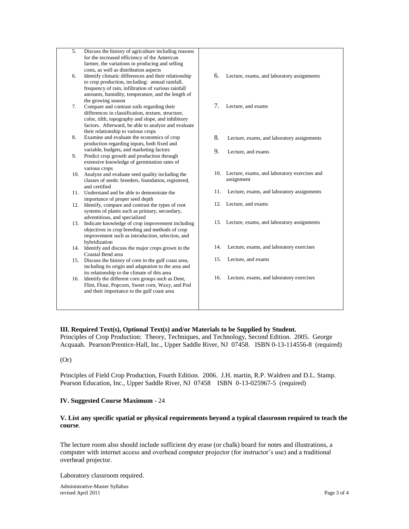| 5.  | Discuss the history of agriculture including reasons         |     |                                                  |
|-----|--------------------------------------------------------------|-----|--------------------------------------------------|
|     | for the increased efficiency of the American                 |     |                                                  |
|     | farmer, the variations in producing and selling              |     |                                                  |
|     | costs, as well as distribution aspects                       |     |                                                  |
| 6.  | Identify climatic differences and their relationship         | 6.  | Lecture, exams, and laboratory assignments       |
|     | to crop production, including: annual rainfall,              |     |                                                  |
|     | frequency of rain, infiltration of various rainfall          |     |                                                  |
|     | amounts, humidity, temperature, and the length of            |     |                                                  |
|     | the growing season                                           |     |                                                  |
| 7.  | Compare and contrast soils regarding their                   | 7.  | Lecture, and exams                               |
|     | differences in classification, texture, structure,           |     |                                                  |
|     | color, tilth, topography and slope, and inhibitory           |     |                                                  |
|     | factors. Afterward, be able to analyze and evaluate          |     |                                                  |
|     | their relationship to various crops                          |     |                                                  |
| 8.  | Examine and evaluate the economics of crop                   | 8.  | Lecture, exams, and laboratory assignments       |
|     | production regarding inputs, both fixed and                  |     |                                                  |
|     | variable, budgets, and marketing factors                     | 9.  | Lecture, and exams                               |
| 9.  | Predict crop growth and production through                   |     |                                                  |
|     | extensive knowledge of germination rates of<br>various crops |     |                                                  |
| 10. | Analyze and evaluate seed quality including the              |     | 10. Lecture, exams, and laboratory exercises and |
|     | classes of seeds: breeders, foundation, registered,          |     | assignment                                       |
|     | and certified                                                |     |                                                  |
|     | 11. Understand and be able to demonstrate the                | 11. | Lecture, exams, and laboratory assignments       |
|     | importance of proper seed depth                              |     |                                                  |
|     | 12. Identify, compare and contrast the types of root         |     | 12. Lecture, and exams                           |
|     | systems of plants such as primary, secondary,                |     |                                                  |
|     | adventitious, and specialized                                |     |                                                  |
| 13. | Indicate knowledge of crop improvement including             |     | 13. Lecture, exams, and laboratory assignments   |
|     | objectives in crop breeding and methods of crop              |     |                                                  |
|     | improvement such as introduction, selection, and             |     |                                                  |
|     | hybridization                                                |     |                                                  |
|     | 14. Identify and discuss the major crops grown in the        | 14. | Lecture, exams, and laboratory exercises         |
|     | Coastal Bend area                                            |     |                                                  |
| 15. | Discuss the history of corn in the gulf coast area,          | 15. | Lecture, and exams                               |
|     | including its origin and adaptation to the area and          |     |                                                  |
|     | its relationship to the climate of this area                 | 16. |                                                  |
| 16. | Identify the different corn groups such as Dent,             |     | Lecture, exams, and laboratory exercises         |
|     | Flint, Flour, Popcorn, Sweet corn, Waxy, and Pod             |     |                                                  |
|     | and their importance to the gulf coast area                  |     |                                                  |
|     |                                                              |     |                                                  |
|     |                                                              |     |                                                  |

#### **III. Required Text(s), Optional Text(s) and/or Materials to be Supplied by Student.**

Principles of Crop Production: Theory, Techniques, and Technology, Second Edition. 2005. George Acquaah. Pearson/Prentice-Hall, Inc., Upper Saddle River, NJ 07458. ISBN 0-13-114556-8 (required)

## (Or)

Principles of Field Crop Production, Fourth Edition. 2006. J.H. martin, R.P. Waldren and D.L. Stamp. Pearson Education, Inc., Upper Saddle River, NJ 07458 ISBN 0-13-025967-5 (required)

#### **IV. Suggested Course Maximum** - 24

#### **V. List any specific spatial or physical requirements beyond a typical classroom required to teach the course**.

The lecture room also should include sufficient dry erase (or chalk) board for notes and illustrations, a computer with internet access and overhead computer projector (for instructor's use) and a traditional overhead projector.

Laboratory classroom required.